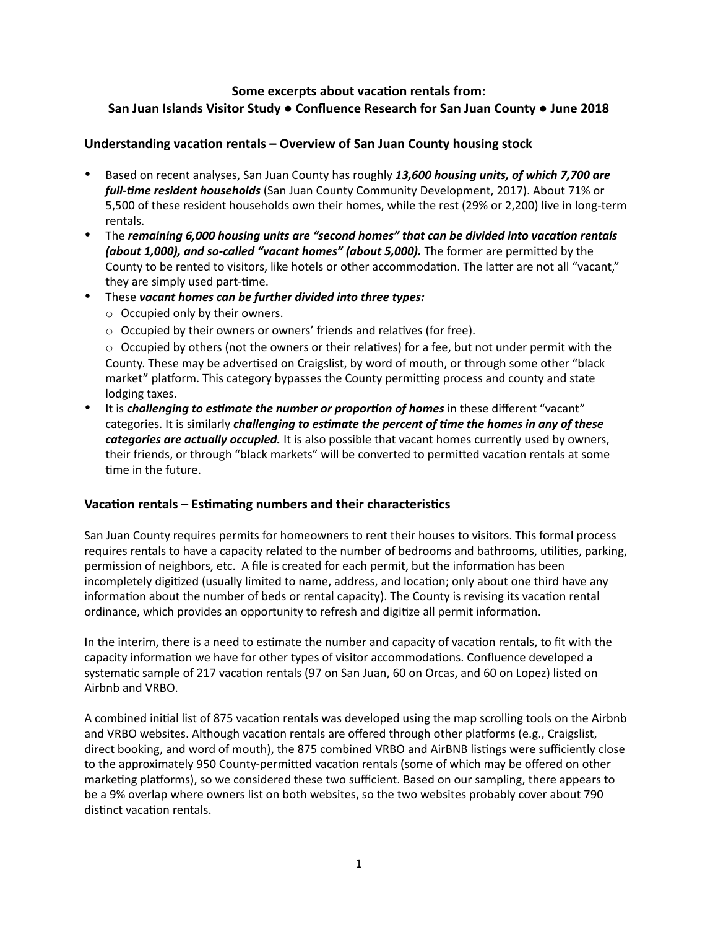# **Some excerpts about vacation rentals from: San Juan Islands Visitor Study ● Confluence Research for San Juan County ● June 2018**

#### **Understanding vacation rentals – Overview of San Juan County housing stock**

- Based on recent analyses, San Juan County has roughly *13,600 housing units, of which 7,700 are full-time resident households* (San Juan County Community Development, 2017). About 71% or 5,500 of these resident households own their homes, while the rest (29% or 2,200) live in long-term rentals.
- The *remaining 6,000 housing units are "second homes" that can be divided into vacation rentals (about 1,000), and so-called "vacant homes" (about 5,000).* The former are permitted by the County to be rented to visitors, like hotels or other accommodation. The latter are not all "vacant," they are simply used part-time.
- These *vacant homes can be further divided into three types:*
	- o Occupied only by their owners.
	- o Occupied by their owners or owners' friends and relatives (for free).

 $\circ$  Occupied by others (not the owners or their relatives) for a fee, but not under permit with the County. These may be advertised on Craigslist, by word of mouth, or through some other "black market" platform. This category bypasses the County permitting process and county and state lodging taxes.

• It is *challenging to estimate the number or proportion of homes* in these different "vacant" categories. It is similarly *challenging to estimate the percent of time the homes in any of these categories are actually occupied.* It is also possible that vacant homes currently used by owners, their friends, or through "black markets" will be converted to permitted vacation rentals at some time in the future.

## **Vacation rentals – Estimating numbers and their characteristics**

San Juan County requires permits for homeowners to rent their houses to visitors. This formal process requires rentals to have a capacity related to the number of bedrooms and bathrooms, utilities, parking, permission of neighbors, etc. A file is created for each permit, but the information has been incompletely digitized (usually limited to name, address, and location; only about one third have any information about the number of beds or rental capacity). The County is revising its vacation rental ordinance, which provides an opportunity to refresh and digitize all permit information.

In the interim, there is a need to estimate the number and capacity of vacation rentals, to fit with the capacity information we have for other types of visitor accommodations. Confluence developed a systematic sample of 217 vacation rentals (97 on San Juan, 60 on Orcas, and 60 on Lopez) listed on Airbnb and VRBO.

A combined initial list of 875 vacation rentals was developed using the map scrolling tools on the Airbnb and VRBO websites. Although vacation rentals are offered through other platforms (e.g., Craigslist, direct booking, and word of mouth), the 875 combined VRBO and AirBNB listings were sufficiently close to the approximately 950 County-permitted vacation rentals (some of which may be offered on other marketing platforms), so we considered these two sufficient. Based on our sampling, there appears to be a 9% overlap where owners list on both websites, so the two websites probably cover about 790 distinct vacation rentals.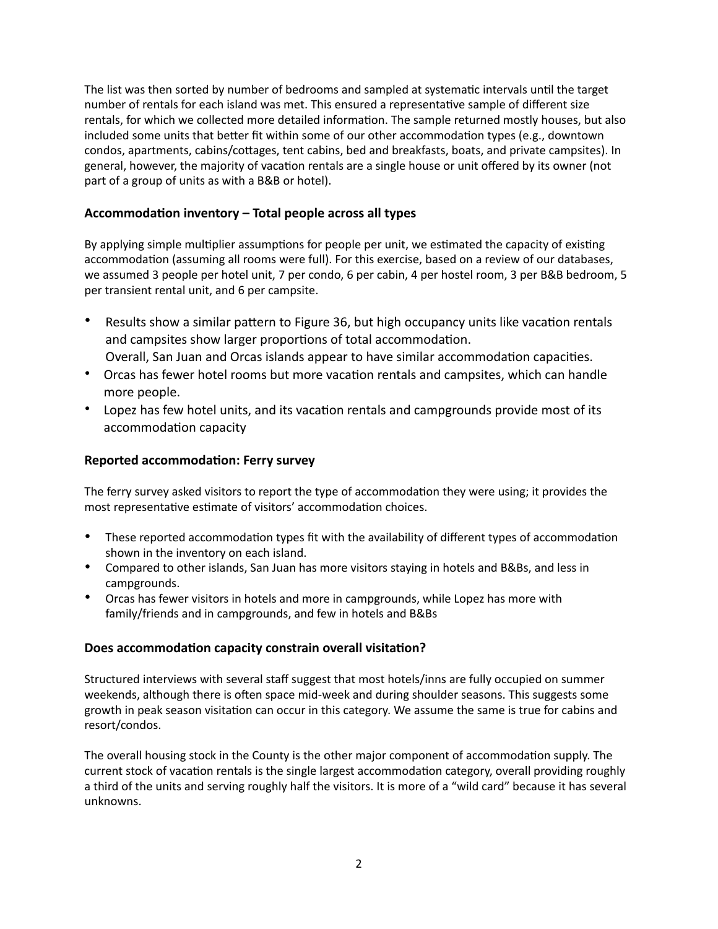The list was then sorted by number of bedrooms and sampled at systematic intervals until the target number of rentals for each island was met. This ensured a representative sample of different size rentals, for which we collected more detailed information. The sample returned mostly houses, but also included some units that better fit within some of our other accommodation types (e.g., downtown condos, apartments, cabins/cottages, tent cabins, bed and breakfasts, boats, and private campsites). In general, however, the majority of vacation rentals are a single house or unit offered by its owner (not part of a group of units as with a B&B or hotel).

### **Accommodation inventory – Total people across all types**

By applying simple multiplier assumptions for people per unit, we estimated the capacity of existing accommodation (assuming all rooms were full). For this exercise, based on a review of our databases, we assumed 3 people per hotel unit, 7 per condo, 6 per cabin, 4 per hostel room, 3 per B&B bedroom, 5 per transient rental unit, and 6 per campsite.

- Results show a similar pattern to Figure 36, but high occupancy units like vacation rentals and campsites show larger proportions of total accommodation. Overall, San Juan and Orcas islands appear to have similar accommodation capacities.
- Orcas has fewer hotel rooms but more vacation rentals and campsites, which can handle more people.
- Lopez has few hotel units, and its vacation rentals and campgrounds provide most of its accommodation capacity

### **Reported accommodation: Ferry survey**

The ferry survey asked visitors to report the type of accommodation they were using; it provides the most representative estimate of visitors' accommodation choices.

- These reported accommodation types fit with the availability of different types of accommodation shown in the inventory on each island.
- Compared to other islands, San Juan has more visitors staying in hotels and B&Bs, and less in campgrounds.
- Orcas has fewer visitors in hotels and more in campgrounds, while Lopez has more with family/friends and in campgrounds, and few in hotels and B&Bs

#### **Does accommodation capacity constrain overall visitation?**

Structured interviews with several staff suggest that most hotels/inns are fully occupied on summer weekends, although there is often space mid-week and during shoulder seasons. This suggests some growth in peak season visitation can occur in this category. We assume the same is true for cabins and resort/condos.

The overall housing stock in the County is the other major component of accommodation supply. The current stock of vacation rentals is the single largest accommodation category, overall providing roughly a third of the units and serving roughly half the visitors. It is more of a "wild card" because it has several unknowns.